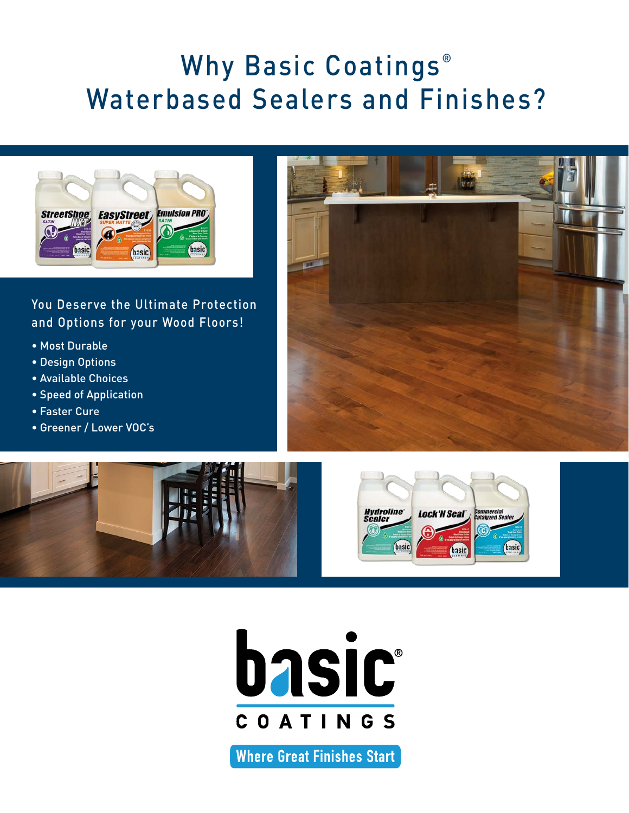## Why Basic Coatings<sup>®</sup> Waterbased Sealers and Finishes?



#### You Deserve the Ultimate Protection and Options for your Wood Floors!

- Most Durable
- Design Options
- Available Choices
- Speed of Application
- Faster Cure
- Greener / Lower VOC's









**Where Great Finishes Start**